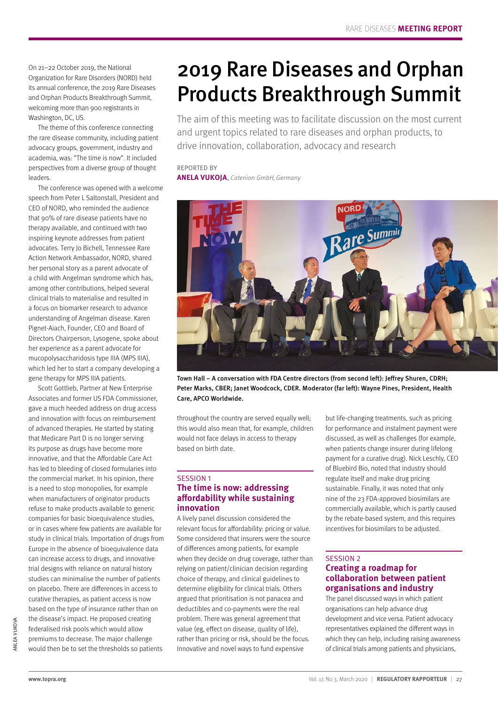On 21–22 October 2019, the National Organization for Rare Disorders (NORD) held its annual conference, the 2019 Rare Diseases and Orphan Products Breakthrough Summit, welcoming more than 900 registrants in Washington, DC, US.

The theme of this conference connecting the rare disease community, including patient advocacy groups, government, industry and academia, was: "The time is now". It included perspectives from a diverse group of thought leaders.

The conference was opened with a welcome speech from Peter L Saltonstall, President and CEO of NORD, who reminded the audience that 90% of rare disease patients have no therapy available, and continued with two inspiring keynote addresses from patient advocates. Terry Jo Bichell, Tennessee Rare Action Network Ambassador, NORD, shared her personal story as a parent advocate of a child with Angelman syndrome which has, among other contributions, helped several clinical trials to materialise and resulted in a focus on biomarker research to advance understanding of Angelman disease. Karen Pignet-Aiach, Founder, CEO and Board of Directors Chairperson, Lysogene, spoke about her experience as a parent advocate for mucopolysaccharidosis type IIIA (MPS IIIA), which led her to start a company developing a gene therapy for MPS IIIA patients.

Scott Gottlieb, Partner at New Enterprise Associates and former US FDA Commissioner, gave a much heeded address on drug access and innovation with focus on reimbursement of advanced therapies. He started by stating that Medicare Part D is no longer serving its purpose as drugs have become more innovative, and that the Affordable Care Act has led to bleeding of closed formularies into the commercial market. In his opinion, there is a need to stop monopolies, for example when manufacturers of originator products refuse to make products available to generic companies for basic bioequivalence studies, or in cases where few patients are available for study in clinical trials. Importation of drugs from Europe in the absence of bioequivalence data can increase access to drugs, and innovative trial designs with reliance on natural history studies can minimalise the number of patients on placebo. There are differences in access to curative therapies, as patient access is now based on the type of insurance rather than on the disease's impact. He proposed creating federalised risk pools which would allow premiums to decrease. The major challenge would then be to set the thresholds so patients

# 2019 Rare Diseases and Orphan Products Breakthrough Summit

The aim of this meeting was to facilitate discussion on the most current and urgent topics related to rare diseases and orphan products, to drive innovation, collaboration, advocacy and research

#### REPORTED BY **ANELA VUKOJA**, Catenion GmbH, Germany



Town Hall – A conversation with FDA Centre directors (from second left): Jeffrey Shuren, CDRH; Peter Marks, CBER; Janet Woodcock, CDER. Moderator (far left): Wayne Pines, President, Health Care, APCO Worldwide.

throughout the country are served equally well; this would also mean that, for example, children would not face delays in access to therapy based on birth date.

#### SESSION 1 **The time is now: addressing affordability while sustaining innovation**

A lively panel discussion considered the relevant focus for affordability: pricing or value. Some considered that insurers were the source of differences among patients, for example when they decide on drug coverage, rather than relying on patient/clinician decision regarding choice of therapy, and clinical guidelines to determine eligibility for clinical trials. Others argued that prioritisation is not panacea and deductibles and co-payments were the real problem. There was general agreement that value (eg, effect on disease, quality of life), rather than pricing or risk, should be the focus. Innovative and novel ways to fund expensive

but life-changing treatments, such as pricing for performance and instalment payment were discussed, as well as challenges (for example, when patients change insurer during lifelong payment for a curative drug). Nick Leschly, CEO of Bluebird Bio, noted that industry should regulate itself and make drug pricing sustainable. Finally, it was noted that only nine of the 23 FDA-approved biosimilars are commercially available, which is partly caused by the rebate-based system, and this requires incentives for biosimilars to be adjusted.

### SESSION 2

### **Creating a roadmap for collaboration between patient organisations and industry**

The panel discussed ways in which patient organisations can help advance drug development and vice versa. Patient advocacy representatives explained the different ways in which they can help, including raising awareness of clinical trials among patients and physicians,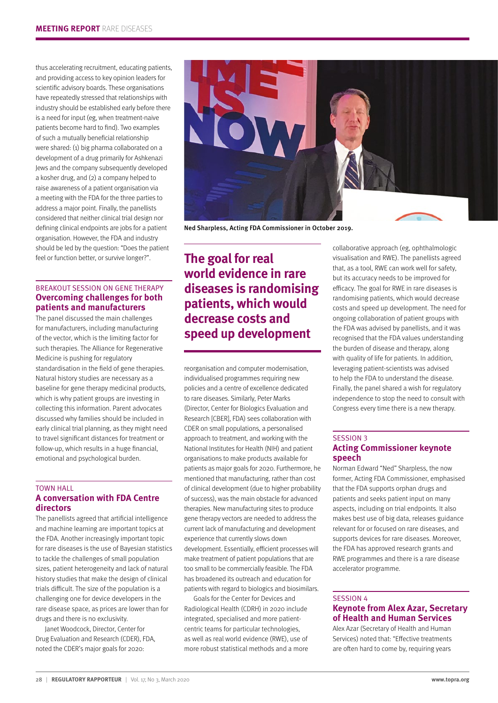thus accelerating recruitment, educating patients, and providing access to key opinion leaders for scientific advisory boards. These organisations have repeatedly stressed that relationships with industry should be established early before there is a need for input (eg, when treatment-naive patients become hard to find). Two examples of such a mutually beneficial relationship were shared: (1) big pharma collaborated on a development of a drug primarily for Ashkenazi Jews and the company subsequently developed a kosher drug, and (2) a company helped to raise awareness of a patient organisation via a meeting with the FDA for the three parties to address a major point. Finally, the panellists considered that neither clinical trial design nor defining clinical endpoints are jobs for a patient organisation. However, the FDA and industry should be led by the question: "Does the patient feel or function better, or survive longer?".

#### BREAKOUT SESSION ON GENE THERAPY **Overcoming challenges for both patients and manufacturers**

The panel discussed the main challenges for manufacturers, including manufacturing of the vector, which is the limiting factor for such therapies. The Alliance for Regenerative Medicine is pushing for regulatory standardisation in the field of gene therapies. Natural history studies are necessary as a baseline for gene therapy medicinal products, which is why patient groups are investing in collecting this information. Parent advocates discussed why families should be included in early clinical trial planning, as they might need to travel significant distances for treatment or follow-up, which results in a huge financial, emotional and psychological burden.

#### TOWN HALL **A conversation with FDA Centre directors**

The panellists agreed that artificial intelligence and machine learning are important topics at the FDA. Another increasingly important topic for rare diseases is the use of Bayesian statistics to tackle the challenges of small population sizes, patient heterogeneity and lack of natural history studies that make the design of clinical trials difficult. The size of the population is a challenging one for device developers in the rare disease space, as prices are lower than for drugs and there is no exclusivity.

Janet Woodcock, Director, Center for Drug Evaluation and Research (CDER), FDA, noted the CDER's major goals for 2020:



Ned Sharpless, Acting FDA Commissioner in October 2019.

## **The goal for real world evidence in rare diseases is randomising patients, which would decrease costs and speed up development**

reorganisation and computer modernisation, individualised programmes requiring new policies and a centre of excellence dedicated to rare diseases. Similarly, Peter Marks (Director, Center for Biologics Evaluation and Research [CBER], FDA) sees collaboration with CDER on small populations, a personalised approach to treatment, and working with the National Institutes for Health (NIH) and patient organisations to make products available for patients as major goals for 2020. Furthermore, he mentioned that manufacturing, rather than cost of clinical development (due to higher probability of success), was the main obstacle for advanced therapies. New manufacturing sites to produce gene therapy vectors are needed to address the current lack of manufacturing and development experience that currently slows down development. Essentially, efficient processes will make treatment of patient populations that are too small to be commercially feasible. The FDA has broadened its outreach and education for patients with regard to biologics and biosimilars.

Goals for the Center for Devices and Radiological Health (CDRH) in 2020 include integrated, specialised and more patientcentric teams for particular technologies, as well as real world evidence (RWE), use of more robust statistical methods and a more collaborative approach (eg, ophthalmologic visualisation and RWE). The panellists agreed that, as a tool, RWE can work well for safety, but its accuracy needs to be improved for efficacy. The goal for RWE in rare diseases is randomising patients, which would decrease costs and speed up development. The need for ongoing collaboration of patient groups with the FDA was advised by panellists, and it was recognised that the FDA values understanding the burden of disease and therapy, along with quality of life for patients. In addition, leveraging patient-scientists was advised to help the FDA to understand the disease. Finally, the panel shared a wish for regulatory independence to stop the need to consult with Congress every time there is a new therapy.

#### SESSION 3 **Acting Commissioner keynote speech**

Norman Edward "Ned" Sharpless, the now former, Acting FDA Commissioner, emphasised that the FDA supports orphan drugs and patients and seeks patient input on many aspects, including on trial endpoints. It also makes best use of big data, releases guidance relevant for or focused on rare diseases, and supports devices for rare diseases. Moreover, the FDA has approved research grants and RWE programmes and there is a rare disease accelerator programme.

#### SESSION 4 **Keynote from Alex Azar, Secretary of Health and Human Services**

Alex Azar (Secretary of Health and Human Services) noted that: "Effective treatments are often hard to come by, requiring years